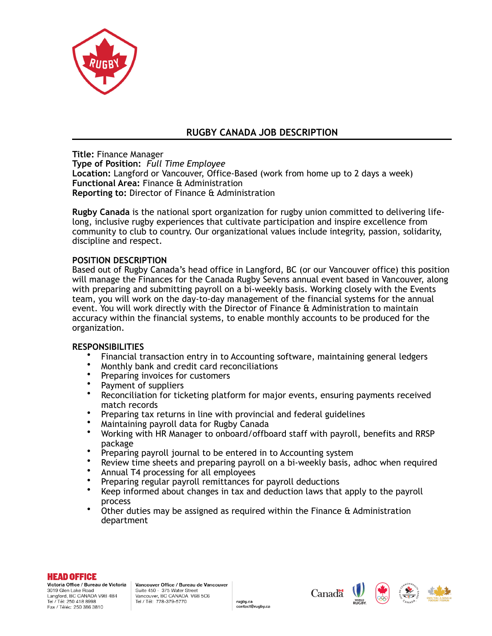

# **RUGBY CANADA JOB DESCRIPTION**

**Title:** Finance Manager

**Type of Position:** *Full Time Employee*

**Location:** Langford or Vancouver, Office-Based (work from home up to 2 days a week) **Functional Area:** Finance & Administration **Reporting to:** Director of Finance & Administration

**Rugby Canada** is the national sport organization for rugby union committed to delivering lifelong, inclusive rugby experiences that cultivate participation and inspire excellence from community to club to country. Our organizational values include integrity, passion, solidarity, discipline and respect.

## **POSITION DESCRIPTION**

Based out of Rugby Canada's head office in Langford, BC (or our Vancouver office) this position will manage the Finances for the Canada Rugby Sevens annual event based in Vancouver, along with preparing and submitting payroll on a bi-weekly basis. Working closely with the Events team, you will work on the day-to-day management of the financial systems for the annual event. You will work directly with the Director of Finance & Administration to maintain accuracy within the financial systems, to enable monthly accounts to be produced for the organization.

### **RESPONSIBILITIES**

- Financial transaction entry in to Accounting software, maintaining general ledgers
- Monthly bank and credit card reconciliations
- Preparing invoices for customers
- Payment of suppliers
- Reconciliation for ticketing platform for major events, ensuring payments received match records
- Preparing tax returns in line with provincial and federal guidelines
- Maintaining payroll data for Rugby Canada<br>• Working with HR Manager to opboard/offbo
- Working with HR Manager to onboard/offboard staff with payroll, benefits and RRSP package
- Preparing payroll journal to be entered in to Accounting system
- Review time sheets and preparing payroll on a bi-weekly basis, adhoc when required
- Annual T4 processing for all employees
- Preparing regular payroll remittances for payroll deductions
- Keep informed about changes in tax and deduction laws that apply to the payroll process
- Other duties may be assigned as required within the Finance & Administration department

rugby.ca

contact@rugby.ca

#### **HEAD OFFICE**

Victoria Office / Bureau de Victoria 3019 Glen Lake Road Langford, BC CANADA V9B 4B4 Tel / Tél: 250 418 8998 Fax / Téléc: 250 386 3810